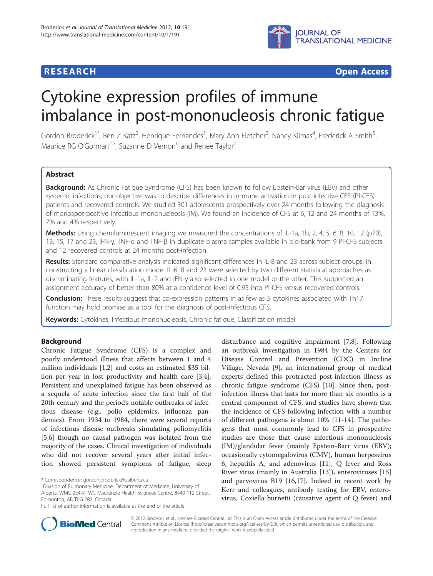

## **RESEARCH CHEAR CHEAR CHEAR CHEAR CHEAR CHEAR CHEAR CHEAR CHEAR CHEAR CHEAR CHEAR CHEAR CHEAR CHEAR CHEAR CHEAR**

# Cytokine expression profiles of immune imbalance in post-mononucleosis chronic fatigue

Gordon Broderick<sup>1\*</sup>, Ben Z Katz<sup>2</sup>, Henrique Fernandes<sup>1</sup>, Mary Ann Fletcher<sup>3</sup>, Nancy Klimas<sup>4</sup>, Frederick A Smith<sup>5</sup> , Maurice RG O'Gorman<sup>2,5</sup>, Suzanne D Vernon<sup>6</sup> and Renee Taylor<sup>7</sup>

## Abstract

Background: As Chronic Fatigue Syndrome (CFS) has been known to follow Epstein-Bar virus (EBV) and other systemic infections; our objective was to describe differences in immune activation in post-infective CFS (PI-CFS) patients and recovered controls. We studied 301 adolescents prospectively over 24 months following the diagnosis of monospot-positive infectious mononucleosis (IM). We found an incidence of CFS at 6, 12 and 24 months of 13%, 7% and 4% respectively.

Methods: Using chemiluminescent imaging we measured the concentrations of IL-1a, 1b, 2, 4, 5, 6, 8, 10, 12 (p70), 13, 15, 17 and 23, IFN-γ, TNF-α and TNF-β in duplicate plasma samples available in bio-bank from 9 PI-CFS subjects and 12 recovered controls at 24 months post-infection.

Results: Standard comparative analysis indicated significant differences in IL-8 and 23 across subject groups. In constructing a linear classification model IL-6, 8 and 23 were selected by two different statistical approaches as discriminating features, with IL-1a, IL-2 and IFN-γ also selected in one model or the other. This supported an assignment accuracy of better than 80% at a confidence level of 0.95 into PI-CFS versus recovered controls.

Conclusion: These results suggest that co-expression patterns in as few as 5 cytokines associated with Th17 function may hold promise as a tool for the diagnosis of post-infectious CFS.

Keywords: Cytokines, Infectious mononucleosis, Chronic fatique, Classification model

## Background

Chronic Fatigue Syndrome (CFS) is a complex and poorly understood illness that affects between 1 and 4 million individuals [\[1,2](#page-8-0)] and costs an estimated \$35 billion per year in lost productivity and health care [\[3,4](#page-8-0)]. Persistent and unexplained fatigue has been observed as a sequela of acute infection since the first half of the 20th century and the period's notable outbreaks of infectious disease (e.g., polio epidemics, influenza pandemics). From 1934 to 1984, there were several reports of infectious disease outbreaks simulating poliomyelitis [[5,](#page-8-0)[6\]](#page-9-0) though no causal pathogen was isolated from the majority of the cases. Clinical investigation of individuals who did not recover several years after initial infection showed persistent symptoms of fatigue, sleep

disturbance and cognitive impairment [\[7,8\]](#page-9-0). Following an outbreak investigation in 1984 by the Centers for Disease Control and Prevention (CDC) in Incline Village, Nevada [\[9](#page-9-0)], an international group of medical experts defined this protracted post-infection illness as chronic fatigue syndrome (CFS) [\[10](#page-9-0)]. Since then, postinfection illness that lasts for more than six months is a central component of CFS, and studies have shown that the incidence of CFS following infection with a number of different pathogens is about 10% [[11-14](#page-9-0)]. The pathogens that most commonly lead to CFS in prospective studies are those that cause infectious mononucleosis (IM)/glandular fever (mainly Epstein-Barr virus (EBV); occasionally cytomegalovirus (CMV), human herpesvirus 6, hepatitis A, and adenovirus [[11](#page-9-0)], Q fever and Ross River virus (mainly in Australia [[13\]](#page-9-0)), enteroviruses [[15](#page-9-0)] and parvovirus B19 [[16,17\]](#page-9-0). Indeed in recent work by Kerr and colleagues, antibody testing for EBV, enterovirus, Coxiella burnetii (causative agent of Q fever) and



© 2012 Broderick et al.; licensee BioMed Central Ltd. This is an Open Access article distributed under the terms of the Creative Commons Attribution License [\(http://creativecommons.org/licenses/by/2.0\)](http://creativecommons.org/licenses/by/2.0), which permits unrestricted use, distribution, and reproduction in any medium, provided the original work is properly cited.

<sup>\*</sup> Correspondence: [gordon.broderick@ualberta.ca](mailto:gordon.broderick@ualberta.ca) <sup>1</sup>

Division of Pulmonary Medicine, Department of Medicine, University of Alberta, WMC 2E4.41 WC Mackenzie Health Sciences Centre, 8440 112 Street, Edmonton, AB T6G 2R7, Canada

Full list of author information is available at the end of the article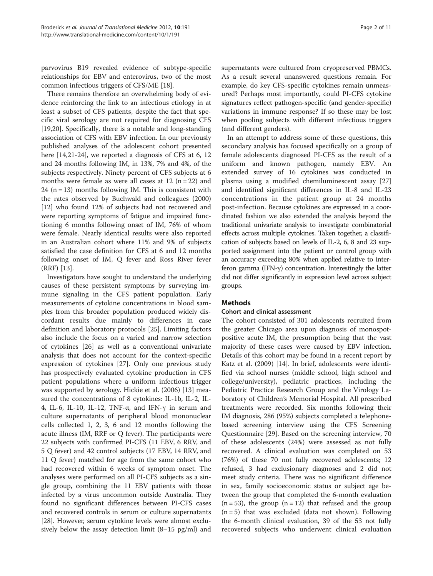parvovirus B19 revealed evidence of subtype-specific relationships for EBV and enterovirus, two of the most common infectious triggers of CFS/ME [\[18](#page-9-0)].

There remains therefore an overwhelming body of evidence reinforcing the link to an infectious etiology in at least a subset of CFS patients, despite the fact that specific viral serology are not required for diagnosing CFS [[19,20\]](#page-9-0). Specifically, there is a notable and long-standing association of CFS with EBV infection. In our previously published analyses of the adolescent cohort presented here [\[14,21-24](#page-9-0)], we reported a diagnosis of CFS at 6, 12 and 24 months following IM, in 13%, 7% and 4%, of the subjects respectively. Ninety percent of CFS subjects at 6 months were female as were all cases at  $12$  (n = 22) and 24  $(n = 13)$  months following IM. This is consistent with the rates observed by Buchwald and colleagues (2000) [[12\]](#page-9-0) who found 12% of subjects had not recovered and were reporting symptoms of fatigue and impaired functioning 6 months following onset of IM, 76% of whom were female. Nearly identical results were also reported in an Australian cohort where 11% and 9% of subjects satisfied the case definition for CFS at 6 and 12 months following onset of IM, Q fever and Ross River fever (RRF) [\[13](#page-9-0)].

Investigators have sought to understand the underlying causes of these persistent symptoms by surveying immune signaling in the CFS patient population. Early measurements of cytokine concentrations in blood samples from this broader population produced widely discordant results due mainly to differences in case definition and laboratory protocols [[25\]](#page-9-0). Limiting factors also include the focus on a varied and narrow selection of cytokines [\[26](#page-9-0)] as well as a conventional univariate analysis that does not account for the context-specific expression of cytokines [[27\]](#page-9-0). Only one previous study has prospectively evaluated cytokine production in CFS patient populations where a uniform infectious trigger was supported by serology. Hickie et al. (2006) [\[13\]](#page-9-0) measured the concentrations of 8 cytokines: IL-1b, IL-2, IL-4, IL-6, IL-10, IL-12, TNF-α, and IFN-γ in serum and culture supernatants of peripheral blood mononuclear cells collected 1, 2, 3, 6 and 12 months following the acute illness (IM, RRF or Q fever). The participants were 22 subjects with confirmed PI-CFS (11 EBV, 6 RRV, and 5 Q fever) and 42 control subjects (17 EBV, 14 RRV, and 11 Q fever) matched for age from the same cohort who had recovered within 6 weeks of symptom onset. The analyses were performed on all PI-CFS subjects as a single group, combining the 11 EBV patients with those infected by a virus uncommon outside Australia. They found no significant differences between PI-CFS cases and recovered controls in serum or culture supernatants [[28\]](#page-9-0). However, serum cytokine levels were almost exclusively below the assay detection limit (8–15 pg/ml) and supernatants were cultured from cryopreserved PBMCs. As a result several unanswered questions remain. For example, do key CFS-specific cytokines remain unmeasured? Perhaps most importantly, could PI-CFS cytokine signatures reflect pathogen-specific (and gender-specific) variations in immune response? If so these may be lost when pooling subjects with different infectious triggers (and different genders).

In an attempt to address some of these questions, this secondary analysis has focused specifically on a group of female adolescents diagnosed PI-CFS as the result of a uniform and known pathogen, namely EBV. An extended survey of 16 cytokines was conducted in plasma using a modified chemiluminescent assay [[27](#page-9-0)] and identified significant differences in IL-8 and IL-23 concentrations in the patient group at 24 months post-infection. Because cytokines are expressed in a coordinated fashion we also extended the analysis beyond the traditional univariate analysis to investigate combinatorial effects across multiple cytokines. Taken together, a classification of subjects based on levels of IL-2, 6, 8 and 23 supported assignment into the patient or control group with an accuracy exceeding 80% when applied relative to interferon gamma (IFN-γ) concentration. Interestingly the latter did not differ significantly in expression level across subject groups.

## Methods

## Cohort and clinical assessment

The cohort consisted of 301 adolescents recruited from the greater Chicago area upon diagnosis of monospotpositive acute IM, the presumption being that the vast majority of these cases were caused by EBV infection. Details of this cohort may be found in a recent report by Katz et al. (2009) [\[14](#page-9-0)]. In brief, adolescents were identified via school nurses (middle school, high school and college/university), pediatric practices, including the Pediatric Practice Research Group and the Virology Laboratory of Children's Memorial Hospital. All prescribed treatments were recorded. Six months following their IM diagnosis, 286 (95%) subjects completed a telephonebased screening interview using the CFS Screening Questionnaire [[29\]](#page-9-0). Based on the screening interview, 70 of these adolescents (24%) were assessed as not fully recovered. A clinical evaluation was completed on 53 (76%) of these 70 not fully recovered adolescents; 12 refused, 3 had exclusionary diagnoses and 2 did not meet study criteria. There was no significant difference in sex, family socioeconomic status or subject age between the group that completed the 6-month evaluation  $(n = 53)$ , the group  $(n = 12)$  that refused and the group  $(n = 5)$  that was excluded (data not shown). Following the 6-month clinical evaluation, 39 of the 53 not fully recovered subjects who underwent clinical evaluation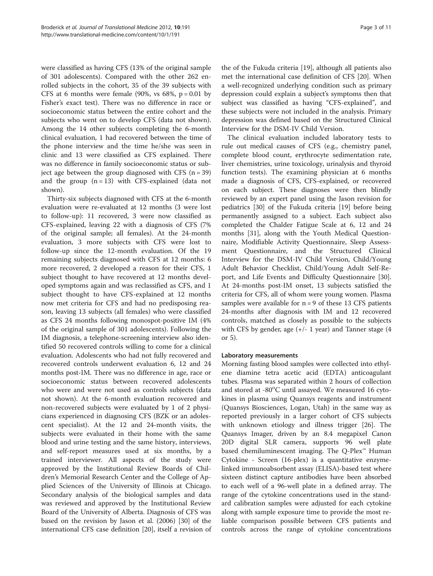were classified as having CFS (13% of the original sample of 301 adolescents). Compared with the other 262 enrolled subjects in the cohort, 35 of the 39 subjects with CFS at 6 months were female (90%, vs  $68\%$ , p = 0.01 by Fisher's exact test). There was no difference in race or socioeconomic status between the entire cohort and the subjects who went on to develop CFS (data not shown). Among the 14 other subjects completing the 6-month clinical evaluation, 1 had recovered between the time of the phone interview and the time he/she was seen in clinic and 13 were classified as CFS explained. There was no difference in family socioeconomic status or subject age between the group diagnosed with CFS  $(n = 39)$ and the group  $(n = 13)$  with CFS-explained (data not shown).

Thirty-six subjects diagnosed with CFS at the 6-month evaluation were re-evaluated at 12 months (3 were lost to follow-up): 11 recovered, 3 were now classified as CFS-explained, leaving 22 with a diagnosis of CFS (7% of the original sample; all females). At the 24-month evaluation, 3 more subjects with CFS were lost to follow-up since the 12-month evaluation. Of the 19 remaining subjects diagnosed with CFS at 12 months: 6 more recovered, 2 developed a reason for their CFS, 1 subject thought to have recovered at 12 months developed symptoms again and was reclassified as CFS, and 1 subject thought to have CFS-explained at 12 months now met criteria for CFS and had no predisposing reason, leaving 13 subjects (all females) who were classified as CFS 24 months following monospot-positive IM (4% of the original sample of 301 adolescents). Following the IM diagnosis, a telephone-screening interview also identified 50 recovered controls willing to come for a clinical evaluation. Adolescents who had not fully recovered and recovered controls underwent evaluation 6, 12 and 24 months post-IM. There was no difference in age, race or socioeconomic status between recovered adolescents who were and were not used as controls subjects (data not shown). At the 6-month evaluation recovered and non-recovered subjects were evaluated by 1 of 2 physicians experienced in diagnosing CFS (BZK or an adolescent specialist). At the 12 and 24-month visits, the subjects were evaluated in their home with the same blood and urine testing and the same history, interviews, and self-report measures used at six months, by a trained interviewer. All aspects of the study were approved by the Institutional Review Boards of Children's Memorial Research Center and the College of Applied Sciences of the University of Illinois at Chicago. Secondary analysis of the biological samples and data was reviewed and approved by the Institutional Review Board of the University of Alberta. Diagnosis of CFS was based on the revision by Jason et al. (2006) [[30](#page-9-0)] of the international CFS case definition [\[20](#page-9-0)], itself a revision of

the of the Fukuda criteria [[19\]](#page-9-0), although all patients also met the international case definition of CFS [[20\]](#page-9-0). When a well-recognized underlying condition such as primary depression could explain a subject's symptoms then that subject was classified as having "CFS-explained", and these subjects were not included in the analysis. Primary depression was defined based on the Structured Clinical Interview for the DSM-IV Child Version.

The clinical evaluation included laboratory tests to rule out medical causes of CFS (e.g., chemistry panel, complete blood count, erythrocyte sedimentation rate, liver chemistries, urine toxicology, urinalysis and thyroid function tests). The examining physician at 6 months made a diagnosis of CFS, CFS-explained, or recovered on each subject. These diagnoses were then blindly reviewed by an expert panel using the Jason revision for pediatrics [[30](#page-9-0)] of the Fukuda criteria [\[19](#page-9-0)] before being permanently assigned to a subject. Each subject also completed the Chalder Fatigue Scale at 6, 12 and 24 months [[31](#page-9-0)], along with the Youth Medical Questionnaire, Modifiable Activity Questionnaire, Sleep Assessment Questionnaire, and the Structured Clinical Interview for the DSM-IV Child Version, Child/Young Adult Behavior Checklist, Child/Young Adult Self-Report, and Life Events and Difficulty Questionnaire [\[30](#page-9-0)]. At 24-months post-IM onset, 13 subjects satisfied the criteria for CFS, all of whom were young women. Plasma samples were available for  $n = 9$  of these 13 CFS patients 24-months after diagnosis with IM and 12 recovered controls, matched as closely as possible to the subjects with CFS by gender, age  $(+/- 1$  year) and Tanner stage  $(4)$ or 5).

## Laboratory measurements

Morning fasting blood samples were collected into ethylene diamine tetra acetic acid (EDTA) anticoagulant tubes. Plasma was separated within 2 hours of collection and stored at -80°C until assayed. We measured 16 cytokines in plasma using Quansys reagents and instrument (Quansys Biosciences, Logan, Utah) in the same way as reported previously in a larger cohort of CFS subjects with unknown etiology and illness trigger [\[26\]](#page-9-0). The Quansys Imager, driven by an 8.4 megapixel Canon 20D digital SLR camera, supports 96 well plate based chemiluminescent imaging. The Q-Plex™ Human Cytokine - Screen (16-plex) is a quantitative enzymelinked immunoabsorbent assay (ELISA)-based test where sixteen distinct capture antibodies have been absorbed to each well of a 96-well plate in a defined array. The range of the cytokine concentrations used in the standard calibration samples were adjusted for each cytokine along with sample exposure time to provide the most reliable comparison possible between CFS patients and controls across the range of cytokine concentrations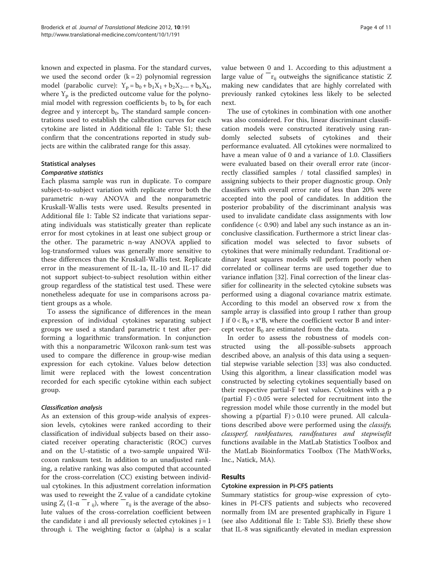known and expected in plasma. For the standard curves, we used the second order  $(k = 2)$  polynomial regression model (parabolic curve):  $Y_p = b_0 + b_1X_1 + b_2X_2 + \cdots + b_kX_k$ , where  $Y_p$  is the predicted outcome value for the polynomial model with regression coefficients  $b_1$  to  $b_k$  for each degree and y intercept  $b_0$ . The standard sample concentrations used to establish the calibration curves for each cytokine are listed in Additional file [1:](#page-8-0) Table S1; these confirm that the concentrations reported in study subjects are within the calibrated range for this assay.

## Statistical analyses

## Comparative statistics

Each plasma sample was run in duplicate. To compare subject-to-subject variation with replicate error both the parametric n-way ANOVA and the nonparametric Kruskall-Wallis tests were used. Results presented in Additional file [1:](#page-8-0) Table S2 indicate that variations separating individuals was statistically greater than replicate error for most cytokines in at least one subject group or the other. The parametric n-way ANOVA applied to log-transformed values was generally more sensitive to these differences than the Kruskall-Wallis test. Replicate error in the measurement of IL-1a, IL-10 and IL-17 did not support subject-to-subject resolution within either group regardless of the statistical test used. These were nonetheless adequate for use in comparisons across patient groups as a whole.

To assess the significance of differences in the mean expression of individual cytokines separating subject groups we used a standard parametric t test after performing a logarithmic transformation. In conjunction with this a nonparametric Wilcoxon rank-sum test was used to compare the difference in group-wise median expression for each cytokine. Values below detection limit were replaced with the lowest concentration recorded for each specific cytokine within each subject group.

## Classification analysis

As an extension of this group-wide analysis of expression levels, cytokines were ranked according to their classification of individual subjects based on their associated receiver operating characteristic (ROC) curves and on the U-statistic of a two-sample unpaired Wilcoxon ranksum test. In addition to an unadjusted ranking, a relative ranking was also computed that accounted for the cross-correlation (CC) existing between individual cytokines. In this adjustment correlation information was used to reweight the Z value of a candidate cytokine using  $Z_i$  (1- $\alpha$  <sup>-</sup>r<sub>ij</sub>), where  $r_{ij}$  is the average of the absolute values of the cross-correlation coefficient between the candidate i and all previously selected cytokines  $j = 1$ through i. The weighting factor  $\alpha$  (alpha) is a scalar next. The use of cytokines in combination with one another was also considered. For this, linear discriminant classification models were constructed iteratively using randomly selected subsets of cytokines and their performance evaluated. All cytokines were normalized to have a mean value of 0 and a variance of 1.0. Classifiers were evaluated based on their overall error rate (incorrectly classified samples / total classified samples) in assigning subjects to their proper diagnostic group. Only classifiers with overall error rate of less than 20% were accepted into the pool of candidates. In addition the posterior probability of the discriminant analysis was used to invalidate candidate class assignments with low confidence (< 0.90) and label any such instance as an inconclusive classification. Furthermore a strict linear classification model was selected to favor subsets of cytokines that were minimally redundant. Traditional ordinary least squares models will perform poorly when correlated or collinear terms are used together due to variance inflation [\[32](#page-9-0)]. Final correction of the linear classifier for collinearity in the selected cytokine subsets was performed using a diagonal covariance matrix estimate. According to this model an observed row x from the sample array is classified into group I rather than group J if  $0 < B_0 + x^*B$ , where the coefficient vector B and intercept vector  $B_0$  are estimated from the data.

In order to assess the robustness of models constructed using the all-possible-subsets approach described above, an analysis of this data using a sequential stepwise variable selection [[33\]](#page-9-0) was also conducted. Using this algorithm, a linear classification model was constructed by selecting cytokines sequentially based on their respective partial-F test values. Cytokines with a p (partial  $F$ ) < 0.05 were selected for recruitment into the regression model while those currently in the model but showing a  $p(\text{partial } F) > 0.10$  were pruned. All calculations described above were performed using the *classify*, classperf, rankfeatures, randfeatures and stepwisefit functions available in the MatLab Statistics Toolbox and the MatLab Bioinformatics Toolbox (The MathWorks, Inc., Natick, MA).

## Results

## Cytokine expression in PI-CFS patients

Summary statistics for group-wise expression of cytokines in PI-CFS patients and subjects who recovered normally from IM are presented graphically in Figure [1](#page-4-0) (see also Additional file [1:](#page-8-0) Table S3). Briefly these show that IL-8 was significantly elevated in median expression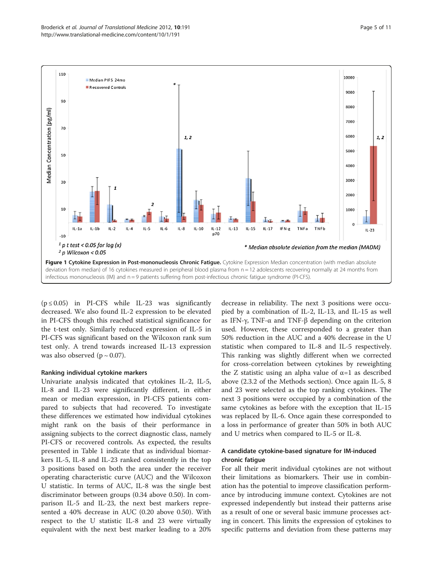<span id="page-4-0"></span>

 $(p \le 0.05)$  in PI-CFS while IL-23 was significantly decreased. We also found IL-2 expression to be elevated in PI-CFS though this reached statistical significance for the t-test only. Similarly reduced expression of IL-5 in PI-CFS was significant based on the Wilcoxon rank sum test only. A trend towards increased IL-13 expression was also observed ( $p \sim 0.07$ ).

## Ranking individual cytokine markers

Univariate analysis indicated that cytokines IL-2, IL-5, IL-8 and IL-23 were significantly different, in either mean or median expression, in PI-CFS patients compared to subjects that had recovered. To investigate these differences we estimated how individual cytokines might rank on the basis of their performance in assigning subjects to the correct diagnostic class, namely PI-CFS or recovered controls. As expected, the results presented in Table [1](#page-5-0) indicate that as individual biomarkers IL-5, IL-8 and IL-23 ranked consistently in the top 3 positions based on both the area under the receiver operating characteristic curve (AUC) and the Wilcoxon U statistic. In terms of AUC, IL-8 was the single best discriminator between groups (0.34 above 0.50). In comparison IL-5 and IL-23, the next best markers represented a 40% decrease in AUC (0.20 above 0.50). With respect to the U statistic IL-8 and 23 were virtually equivalent with the next best marker leading to a 20%

decrease in reliability. The next 3 positions were occupied by a combination of IL-2, IL-13, and IL-15 as well as IFN-γ, TNF-α and TNF-β depending on the criterion used. However, these corresponded to a greater than 50% reduction in the AUC and a 40% decrease in the U statistic when compared to IL-8 and IL-5 respectively. This ranking was slightly different when we corrected for cross-correlation between cytokines by reweighting the Z statistic using an alpha value of  $\alpha$ =1 as described above (2.3.2 of the Methods section). Once again IL-5, 8 and 23 were selected as the top ranking cytokines. The next 3 positions were occupied by a combination of the same cytokines as before with the exception that IL-15 was replaced by IL-6. Once again these corresponded to a loss in performance of greater than 50% in both AUC and U metrics when compared to IL-5 or IL-8.

## A candidate cytokine-based signature for IM-induced chronic fatigue

For all their merit individual cytokines are not without their limitations as biomarkers. Their use in combination has the potential to improve classification performance by introducing immune context. Cytokines are not expressed independently but instead their patterns arise as a result of one or several basic immune processes acting in concert. This limits the expression of cytokines to specific patterns and deviation from these patterns may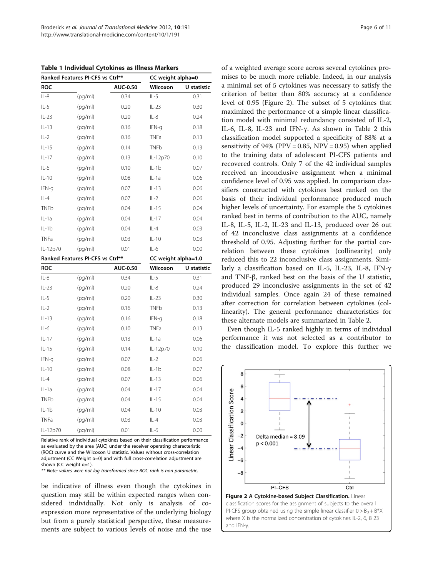<span id="page-5-0"></span>Table 1 Individual Cytokines as Illness Markers

|             | Ranked Features PI-CFS vs Ctrl** |          |             | CC weight alpha=0   |  |  |
|-------------|----------------------------------|----------|-------------|---------------------|--|--|
| <b>ROC</b>  |                                  | AUC-0.50 | Wilcoxon    | U statistic         |  |  |
| $IL-8$      | (pq/ml)                          | 0.34     | $IL-5$      | 0.31                |  |  |
| $IL-5$      | (pq/ml)                          | 0.20     | $IL-23$     | 0.30                |  |  |
| $IL-23$     | (pq/ml)                          | 0.20     | $IL-8$      | 0.24                |  |  |
| $IL-13$     | (pq/ml)                          | 0.16     | IFN-g       | 0.18                |  |  |
| $IL-2$      | (pq/ml)                          | 0.16     | <b>TNFa</b> | 0.13                |  |  |
| $IL-15$     | (pq/ml)                          | 0.14     | <b>TNFb</b> | 0.13                |  |  |
| $IL-17$     | (pq/ml)                          | 0.13     | IL-12p70    | 0.10                |  |  |
| $IL-6$      | (pq/ml)                          | 0.10     | $IL-1b$     | 0.07                |  |  |
| $IL-10$     | (pq/ml)                          | 0.08     | $IL-1a$     | 0.06                |  |  |
| IFN-g       | (pq/ml)                          | 0.07     | $IL-13$     | 0.06                |  |  |
| $IL-4$      | (pq/ml)                          | 0.07     | $IL-2$      | 0.06                |  |  |
| <b>TNFb</b> | (pq/ml)                          | 0.04     | $IL-15$     | 0.04                |  |  |
| $IL-1a$     | (pq/ml)                          | 0.04     | $IL-17$     | 0.04                |  |  |
| $IL-1b$     | (pg/ml)                          | 0.04     | $IL-4$      | 0.03                |  |  |
| <b>TNFa</b> | (pq/ml)                          | 0.03     | $IL-10$     | 0.03                |  |  |
| IL-12p70    | (pq/ml)                          | 0.01     | $IL-6$      | 0.00                |  |  |
|             | Ranked Features PI-CFS vs Ctrl** |          |             | CC weight alpha=1.0 |  |  |
| <b>ROC</b>  |                                  | AUC-0.50 | Wilcoxon    | U statistic         |  |  |
| $IL-8$      | (pq/ml)                          | 0.34     | $IL-5$      | 0.31                |  |  |
|             |                                  |          |             |                     |  |  |
| $IL-23$     | (pq/ml)                          | 0.20     | $IL-8$      | 0.24                |  |  |
| $IL-5$      | (pq/ml)                          | 0.20     | $IL-23$     | 0.30                |  |  |
| $IL-2$      | (pq/ml)                          | 0.16     | <b>TNFb</b> | 0.13                |  |  |
| $IL-13$     | (pg/ml)                          | 0.16     | IFN-g       | 0.18                |  |  |
| $IL-6$      | (pq/ml)                          | 0.10     | <b>TNFa</b> | 0.13                |  |  |
| $IL-17$     | (pq/ml)                          | 0.13     | $IL-1a$     | 0.06                |  |  |
| $IL-15$     | (pg/ml)                          | 0.14     | IL-12p70    | 0.10                |  |  |
| IFN-g       | (pq/ml)                          | 0.07     | $IL-2$      | 0.06                |  |  |
| $IL-10$     | (pg/ml)                          | 0.08     | $IL-1b$     | 0.07                |  |  |
| $IL-4$      | (pg/ml)                          | 0.07     | $IL-13$     | 0.06                |  |  |
| $IL-1a$     | (pq/ml)                          | 0.04     | $IL-17$     | 0.04                |  |  |
| <b>TNFb</b> | (pq/ml)                          | 0.04     | $IL-15$     | 0.04                |  |  |
| $IL-1b$     | (pg/ml)                          | 0.04     | $IL-10$     | 0.03                |  |  |
| <b>TNFa</b> | (pq/ml)                          | 0.03     | $IL-4$      | 0.03                |  |  |

Relative rank of individual cytokines based on their classification performance as evaluated by the area (AUC) under the receiver operating characteristic (ROC) curve and the Wilcoxon U statistic. Values without cross-correlation adjustment (CC Weight α=0) and with full cross-correlation adjustment are shown (CC weight α=1).

\*\* Note: values were not log transformed since ROC rank is non-parametric.

be indicative of illness even though the cytokines in question may still be within expected ranges when considered individually. Not only is analysis of coexpression more representative of the underlying biology but from a purely statistical perspective, these measurements are subject to various levels of noise and the use of a weighted average score across several cytokines promises to be much more reliable. Indeed, in our analysis a minimal set of 5 cytokines was necessary to satisfy the criterion of better than 80% accuracy at a confidence level of 0.95 (Figure 2). The subset of 5 cytokines that maximized the performance of a simple linear classification model with minimal redundancy consisted of IL-2, IL-6, IL-8, IL-23 and IFN-γ. As shown in Table [2](#page-6-0) this classification model supported a specificity of 88% at a sensitivity of 94% (PPV =  $0.85$ , NPV =  $0.95$ ) when applied to the training data of adolescent PI-CFS patients and recovered controls. Only 7 of the 42 individual samples received an inconclusive assignment when a minimal confidence level of 0.95 was applied. In comparison classifiers constructed with cytokines best ranked on the basis of their individual performance produced much higher levels of uncertainty. For example the 5 cytokines ranked best in terms of contribution to the AUC, namely IL-8, IL-5, IL-2, IL-23 and IL-13, produced over 26 out of 42 inconclusive class assignments at a confidence threshold of 0.95. Adjusting further for the partial correlation between these cytokines (collinearity) only reduced this to 22 inconclusive class assignments. Similarly a classification based on IL-5, IL-23, IL-8, IFN-γ and TNF-β, ranked best on the basis of the U statistic, produced 29 inconclusive assignments in the set of 42 individual samples. Once again 24 of these remained after correction for correlation between cytokines (collinearity). The general performance characteristics for these alternate models are summarized in Table [2.](#page-6-0)

Even though IL-5 ranked highly in terms of individual performance it was not selected as a contributor to the classification model. To explore this further we



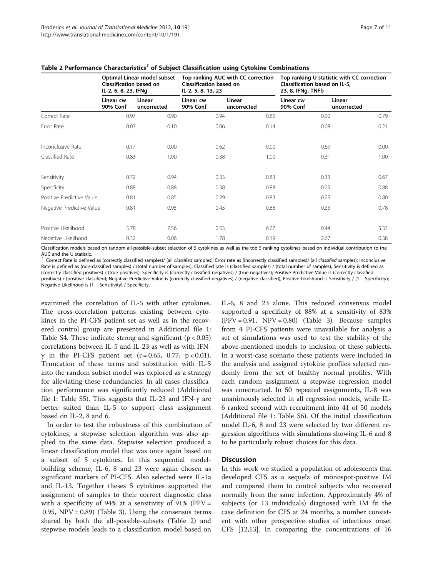|                           | Optimal Linear model subset<br><b>Classification based on</b><br>IL-2, 6, 8, 23, IFNg |                       | Top ranking AUC with CC correction<br>Classification based on<br>IL-2, 5, 8, 13, 23 |                       | Top ranking U statistic with CC correction<br>Classification based on IL-5,<br>23, 8, IFNg, TNFb |                       |
|---------------------------|---------------------------------------------------------------------------------------|-----------------------|-------------------------------------------------------------------------------------|-----------------------|--------------------------------------------------------------------------------------------------|-----------------------|
|                           | Linear cw<br>90% Conf                                                                 | Linear<br>uncorrected | Linear cw<br><b>90% Conf</b>                                                        | Linear<br>uncorrected | Linear cw<br>90% Conf                                                                            | Linear<br>uncorrected |
| Correct Rate              | 0.97                                                                                  | 0.90                  | 0.94                                                                                | 0.86                  | 0.92                                                                                             | 0.79                  |
| Error Rate                | 0.03                                                                                  | 0.10                  | 0.06                                                                                | 0.14                  | 0.08                                                                                             | 0.21                  |
| Inconclusive Rate         | 0.17                                                                                  | 0.00                  | 0.62                                                                                | 0.00                  | 0.69                                                                                             | 0.00                  |
| Classified Rate           | 0.83                                                                                  | 1.00                  | 0.38                                                                                | 1.00                  | 0.31                                                                                             | 1.00                  |
| Sensitivity               | 0.72                                                                                  | 0.94                  | 0.33                                                                                | 0.83                  | 0.33                                                                                             | 0.67                  |
| Specificity               | 0.88                                                                                  | 0.88                  | 0.38                                                                                | 0.88                  | 0.25                                                                                             | 0.88                  |
| Positive Predictive Value | 0.81                                                                                  | 0.85                  | 0.29                                                                                | 0.83                  | 0.25                                                                                             | 0.80                  |
| Negative Predictive Value | 0.81                                                                                  | 0.95                  | 0.43                                                                                | 0.88                  | 0.33                                                                                             | 0.78                  |
| Positive Likelihood       | 5.78                                                                                  | 7.56                  | 0.53                                                                                | 6.67                  | 0.44                                                                                             | 5.33                  |
| Negative Likelihood       | 0.32                                                                                  | 0.06                  | 1.78                                                                                | 0.19                  | 2.67                                                                                             | 0.38                  |

## <span id="page-6-0"></span>Table 2 Performance Characteristics<sup>1</sup> of Subject Classification using Cytokine Combinations

Classification models based on random all-possible-subset selection of 5 cytokines as well as the top 5 ranking cytokines based on individual contribution to the AUC and the U statistic.

Correct Rate is defined as (correctly classified samples)/ (all classified samples); Error rate as (incorrectly classified samples)/ (all classified samples); Inconclusive Rate is defined as (non-classified samples) / (total number of samples); Classified rate is (classified samples) / (total number of samples); Sensitivity is defined as (correctly classified positives) / (true positives); Specificity is (correctly classified negatives) / (true negatives); Positive Predictive Value is (correctly classified positives) / (positive classified); Negative Predictive Value is (correctly classified negatives) / (negative classified); Positive Likelihood is Sensitivity / (1 - Specificity); Negative Likelihood is (1 – Sensitivity) / Specificity.

examined the correlation of IL-5 with other cytokines. The cross-correlation patterns existing between cytokines in the PI-CFS patient set as well as in the recovered control group are presented in Additional file [1](#page-8-0): Table S4. These indicate strong and significant  $(p < 0.05)$ correlations between IL-5 and IL-23 as well as with IFN $γ$  in the PI-CFS patient set (r = 0.65, 0.77; p < 0.01). Truncation of these terms and substitution with IL-5 into the random subset model was explored as a strategy for alleviating these redundancies. In all cases classification performance was significantly reduced (Additional file [1](#page-8-0): Table S5). This suggests that IL-23 and IFN-γ are better suited than IL-5 to support class assignment based on IL-2, 8 and 6.

In order to test the robustness of this combination of cytokines, a stepwise selection algorithm was also applied to the same data. Stepwise selection produced a linear classification model that was once again based on a subset of 5 cytokines. In this sequential modelbuilding scheme, IL-6, 8 and 23 were again chosen as significant markers of PI-CFS. Also selected were IL-1a and IL-13. Together theses 5 cytokines supported the assignment of samples to their correct diagnostic class with a specificity of 94% at a sensitivity of 91% (PPV = 0.95,  $NPV = 0.89$  (Table [3](#page-7-0)). Using the consensus terms shared by both the all-possible-subsets (Table 2) and stepwise models leads to a classification model based on IL-6, 8 and 23 alone. This reduced consensus model supported a specificity of 88% at a sensitivity of 83%  $(PPV = 0.91, NPV = 0.80)$  (Table [3](#page-7-0)). Because samples from 4 PI-CFS patients were unavailable for analysis a set of simulations was used to test the stability of the above-mentioned models to inclusion of these subjects. In a worst-case scenario these patients were included in the analysis and assigned cytokine profiles selected randomly from the set of healthy normal profiles. With each random assignment a stepwise regression model was constructed. In 50 repeated assignments, IL-8 was unanimously selected in all regression models, while IL-6 ranked second with recruitment into 41 of 50 models (Additional file [1](#page-8-0): Table S6). Of the initial classification model IL-6, 8 and 23 were selected by two different regression algorithms with simulations showing IL-6 and 8 to be particularly robust choices for this data.

## Discussion

In this work we studied a population of adolescents that developed CFS as a sequela of monospot-positive IM and compared them to control subjects who recovered normally from the same infection. Approximately 4% of subjects (or 13 individuals) diagnosed with IM fit the case definition for CFS at 24 months, a number consistent with other prospective studies of infectious onset CFS [[12,13\]](#page-9-0). In comparing the concentrations of 16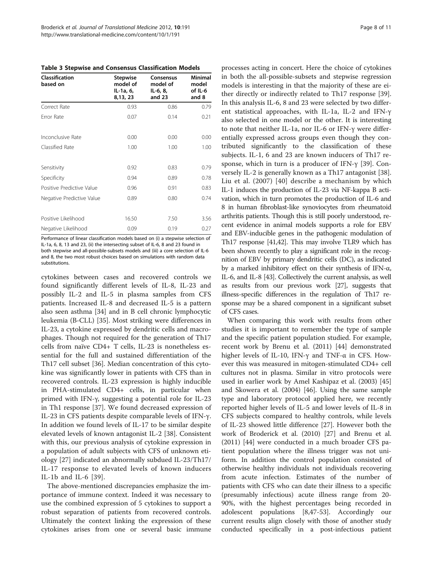<span id="page-7-0"></span>Table 3 Stepwise and Consensus Classification Models

| Classification<br>based on | <b>Stepwise</b><br>model of<br>IL-1a, 6,<br>8,13, 23 | Consensus<br>model of<br>IL-6, 8,<br>and 23 | <b>Minimal</b><br>model<br>of IL-6<br>and 8 |
|----------------------------|------------------------------------------------------|---------------------------------------------|---------------------------------------------|
| Correct Rate               | 0.93                                                 | 0.86                                        | 0.79                                        |
| Frror Rate                 | 0.07                                                 | 0.14                                        | 0.21                                        |
| Inconclusive Rate          | 0.00                                                 | 0.00                                        | 0.00                                        |
| Classified Rate            | 1.00                                                 | 1.00                                        | 1.00                                        |
| Sensitivity                | 0.92                                                 | 0.83                                        | 0.79                                        |
| Specificity                | 0.94                                                 | 0.89                                        | 0.78                                        |
| Positive Predictive Value  | 0.96                                                 | 0.91                                        | 0.83                                        |
| Negative Predictive Value  | 0.89                                                 | 0.80                                        | 0.74                                        |
| Positive Likelihood        | 16.50                                                | 7.50                                        | 3.56                                        |
| Negative Likelihood        | 0.09                                                 | 0.19                                        | 0.27                                        |

Performance of linear classification models based on (i) a stepwise selection of IL-1a, 6, 8, 13 and 23, (ii) the intersecting subset of IL-6, 8 and 23 found in both stepwise and all-possible-subsets models and (iii) a core selection of IL-6 and 8, the two most robust choices based on simulations with random data substitutions.

cytokines between cases and recovered controls we found significantly different levels of IL-8, IL-23 and possibly IL-2 and IL-5 in plasma samples from CFS patients. Increased IL-8 and decreased IL-5 is a pattern also seen asthma [\[34](#page-9-0)] and in B cell chronic lymphocytic leukemia (B-CLL) [\[35](#page-9-0)]. Most striking were differences in IL-23, a cytokine expressed by dendritic cells and macrophages. Though not required for the generation of Th17 cells from naïve CD4+ T cells, IL-23 is nonetheless essential for the full and sustained differentiation of the Th17 cell subset [[36](#page-9-0)]. Median concentration of this cytokine was significantly lower in patients with CFS than in recovered controls. IL-23 expression is highly inducible in PHA-stimulated CD4+ cells, in particular when primed with IFN-γ, suggesting a potential role for IL-23 in Th1 response [[37\]](#page-9-0). We found decreased expression of IL-23 in CFS patients despite comparable levels of IFN-γ. In addition we found levels of IL-17 to be similar despite elevated levels of known antagonist IL-2 [[38\]](#page-9-0). Consistent with this, our previous analysis of cytokine expression in a population of adult subjects with CFS of unknown etiology [[27\]](#page-9-0) indicated an abnormally subdued IL-23/Th17/ IL-17 response to elevated levels of known inducers IL-1b and IL-6 [[39](#page-9-0)].

The above-mentioned discrepancies emphasize the importance of immune context. Indeed it was necessary to use the combined expression of 5 cytokines to support a robust separation of patients from recovered controls. Ultimately the context linking the expression of these cytokines arises from one or several basic immune

processes acting in concert. Here the choice of cytokines in both the all-possible-subsets and stepwise regression models is interesting in that the majority of these are either directly or indirectly related to Th17 response [\[39](#page-9-0)]. In this analysis IL-6, 8 and 23 were selected by two different statistical approaches, with IL-1a, IL-2 and IFN-γ also selected in one model or the other. It is interesting to note that neither IL-1a, nor IL-6 or IFN-γ were differentially expressed across groups even though they contributed significantly to the classification of these subjects. IL-1, 6 and 23 are known inducers of Th17 response, which in turn is a producer of IFN-γ [\[39\]](#page-9-0). Conversely IL-2 is generally known as a Th17 antagonist [\[38](#page-9-0)]. Liu et al. (2007) [\[40\]](#page-9-0) describe a mechanism by which IL-1 induces the production of IL-23 via NF-kappa B activation, which in turn promotes the production of IL-6 and 8 in human fibroblast-like synoviocytes from rheumatoid arthritis patients. Though this is still poorly understood, recent evidence in animal models supports a role for EBV and EBV-inducible genes in the pathogenic modulation of Th17 response [\[41,42](#page-9-0)]. This may involve TLR9 which has been shown recently to play a significant role in the recognition of EBV by primary dendritic cells (DC), as indicated by a marked inhibitory effect on their synthesis of IFN-α, IL-6, and IL-8 [[43](#page-9-0)]. Collectively the current analysis, as well as results from our previous work [\[27](#page-9-0)], suggests that illness-specific differences in the regulation of Th17 response may be a shared component in a significant subset of CFS cases.

When comparing this work with results from other studies it is important to remember the type of sample and the specific patient population studied. For example, recent work by Brenu et al. (2011) [[44](#page-9-0)] demonstrated higher levels of IL-10, IFN-γ and TNF-α in CFS. However this was measured in mitogen-stimulated CD4+ cell cultures not in plasma. Similar in vitro protocols were used in earlier work by Amel Kashipaz et al. (2003) [[45](#page-9-0)] and Skowera et al. (2004) [[46\]](#page-9-0). Using the same sample type and laboratory protocol applied here, we recently reported higher levels of IL-5 and lower levels of IL-8 in CFS subjects compared to healthy controls, while levels of IL-23 showed little difference [[27\]](#page-9-0). However both the work of Broderick et al. (2010) [\[27\]](#page-9-0) and Brenu et al. (2011) [\[44](#page-9-0)] were conducted in a much broader CFS patient population where the illness trigger was not uniform. In addition the control population consisted of otherwise healthy individuals not individuals recovering from acute infection. Estimates of the number of patients with CFS who can date their illness to a specific (presumably infectious) acute illness range from 20- 90%, with the highest percentages being recorded in adolescent populations [\[8,47-](#page-9-0)[53](#page-10-0)]. Accordingly our current results align closely with those of another study conducted specifically in a post-infectious patient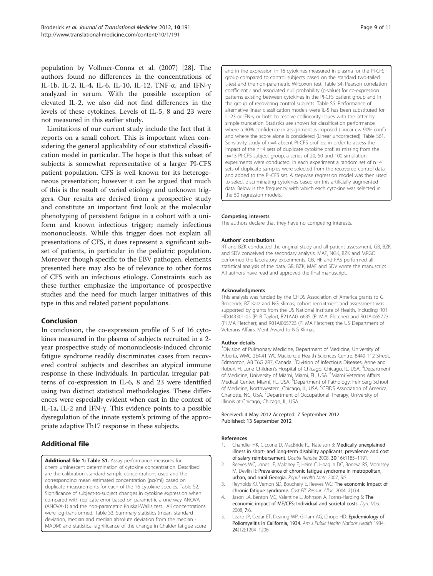<span id="page-8-0"></span>population by Vollmer-Conna et al. (2007) [[28](#page-9-0)]. The authors found no differences in the concentrations of IL-1b, IL-2, IL-4, IL-6, IL-10, IL-12, TNF-α, and IFN-γ analyzed in serum. With the possible exception of elevated IL-2, we also did not find differences in the levels of these cytokines. Levels of IL-5, 8 and 23 were not measured in this earlier study.

Limitations of our current study include the fact that it reports on a small cohort. This is important when considering the general applicability of our statistical classification model in particular. The hope is that this subset of subjects is somewhat representative of a larger PI-CFS patient population. CFS is well known for its heterogeneous presentation; however it can be argued that much of this is the result of varied etiology and unknown triggers. Our results are derived from a prospective study and constitute an important first look at the molecular phenotyping of persistent fatigue in a cohort with a uniform and known infectious trigger; namely infectious mononucleosis. While this trigger does not explain all presentations of CFS, it does represent a significant subset of patients, in particular in the pediatric population. Moreover though specific to the EBV pathogen, elements presented here may also be of relevance to other forms of CFS with an infectious etiology. Constraints such as these further emphasize the importance of prospective studies and the need for much larger initiatives of this type in this and related patient populations.

## Conclusion

In conclusion, the co-expression profile of 5 of 16 cytokines measured in the plasma of subjects recruited in a 2 year prospective study of mononucleosis-induced chronic fatigue syndrome readily discriminates cases from recovered control subjects and describes an atypical immune response in these individuals. In particular, irregular patterns of co-expression in IL-6, 8 and 23 were identified using two distinct statistical methodologies. These differences were especially evident when cast in the context of IL-1a, IL-2 and IFN-γ. This evidence points to a possible dysregulation of the innate system's priming of the appropriate adaptive Th17 response in these subjects.

## Additional file

[Additional file 1:](http://www.biomedcentral.com/content/supplementary/1479-5876-10-191-S1.pdf) Table S1. Assay performance measures for chemiluminescent determination of cytokine concentration. Described are the calibration standard sample concentrations used and the corresponding mean estimated concentration (pg/ml) based on duplicate measurements for each of the 16 cytokine species. Table S2. Significance of subject-to-subject changes in cytokine expression when compared with replicate error based on parametric a one-way ANOVA (ANOVA-1) and the non-parametric Kruskal-Wallis test. All concentrations were log-transformed. Table S3. Summary statistics (mean, standard deviation, median and median absolute deviation from the median - MADM) and statistical significance of the change in Chalder fatigue score and in the expression in 16 cytokines measured in plasma for the PI-CFS group compared to control subjects based on the standard two-tailed t-test and the non-parametric Wilcoxon test. Table S4. Pearson correlation coefficient r and associated null probability (p-value) for co-expression patterns existing between cytokines in the PI-CFS patient group and in the group of recovering control subjects. Table S5. Performance of alternative linear classification models were IL-5 has been substituted for IL-23 or IFN-γ or both to resolve collinearity issues with the latter by simple truncation. Statistics are shown for classification performance where a 90% confidence in assignment is imposed (Linear cw 90% conf.) and where the score alone is considered (Linear uncorrected). Table S61. Sensitivity study of n=4 absent PI-CFS profiles: in order to assess the impact of the n=4 sets of duplicate cytokine profiles missing from the n=13 PI-CFS subject group, a series of 20, 50 and 100 simulation experiments were conducted. In each experiment a random set of n=4 sets of duplicate samples were selected from the recovered control data and added to the PI-CFS set. A stepwise regression model was then used to select discriminating cytokines based on this artificially augmented data. Below is the frequency with which each cytokine was selected in the 50 regression models.

#### Competing interests

The authors declare that they have no competing interests.

#### Authors' contributions

RT and BZK conducted the original study and all patient assessment, GB, BZK and SDV conceived the secondary analysis. MAF, NGK, BZK and MRGO performed the laboratory experiments. GB, HF and FAS performed all statistical analysis of the data. GB, BZK, MAF and SDV wrote the manuscript. All authors have read and approved the final manuscript.

#### Acknowledgments

This analysis was funded by the CFIDS Association of America grants to G Broderick, BZ Katz and NG Klimas; cohort recruitment and assessment was supported by grants from the US National Institute of Health, including R01 HD043301-05 (PI R Taylor), R21AA016635 (PI M.A. Fletcher) and R01AI065723 (PI MA Fletcher); and R01AI065723 (PI MA Fletcher); the US Department of Veterans Affairs, Merit Award to NG Klimas.

#### Author details

<sup>1</sup> Division of Pulmonary Medicine, Department of Medicine, University of Alberta, WMC 2E4.41 WC Mackenzie Health Sciences Centre, 8440 112 Street, Edmonton, AB T6G 2R7, Canada. <sup>2</sup> Division of Infectious Diseases, Anne and Robert H. Lurie Children's Hospital of Chicago, Chicago, IL, USA. <sup>3</sup>Department of Medicine, University of Miami, Miami, FL, USA. <sup>4</sup>Miami Veterans Affairs Medical Center, Miami, FL, USA. <sup>5</sup>Department of Pathology, Feinberg School of Medicine, Northwestern, Chicago, IL, USA. <sup>6</sup>CFIDS Association of America Charlotte, NC, USA. <sup>7</sup>Department of Occupational Therapy, University of Illinois at Chicago, Chicago, IL, USA.

#### Received: 4 May 2012 Accepted: 7 September 2012 Published: 13 September 2012

#### References

- 1. Chandler HK, Ciccone D, MacBride RJ, Natelson B: Medically unexplained illness in short- and long-term disability applicants: prevalence and cost of salary reimbursement. Disabil Rehabil 2008, 30(16):1185–1191.
- 2. Reeves WC, Jones JF, Maloney E, Heim C, Hoaglin DC, Boneva RS, Morrissey M, Devlin R: Prevalence of chronic fatigue syndrome in metropolitan, urban, and rural Georgia. Popul. Health Metr. 2007, 5:5.
- 3. Reynolds KJ, Vernon SD, Bouchery E, Reeves WC: The economic impact of chronic fatigue syndrome. Cost Eff. Resour. Alloc. 2004, 2(1):4.
- 4. Jason LA, Benton MC, Valentine L, Johnson A, Torres-Harding S: The economic impact of ME/CFS: Individual and societal costs. Dyn. Med. 2008, 7:6.
- 5. Leake JP, Cedar ET, Dearing WP, Gilliam AG, Chope HD: Epidemiology of Poliomyelitis in California, 1934. Am J Public Health Nations Health 1934, 24(12):1204–1206.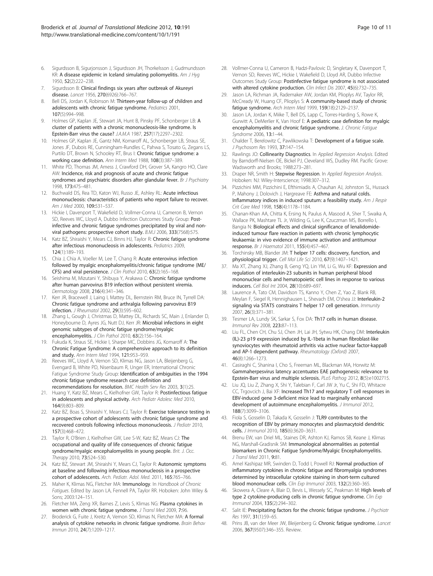- <span id="page-9-0"></span>6. Sigurdsson B, Sigurjonsson J, Sigurdsson JH, Thorkelsson J, Gudmundsson KR: A disease epidemic in Iceland simulating poliomyelitis. Am J Hyg 1950, 52(2):222–238.
- Sigurdsson B: Clinical findings six years after outbreak of Akureyri disease. Lancet 1956, 270(6926):766–767.
- 8. Bell DS, Jordan K, Robinson M: Thirteen-year follow-up of children and adolescents with chronic fatigue syndrome. Pediatrics 2001, 107(5):994–998.
- Holmes GP, Kaplan JE, Stewart JA, Hunt B, Pinsky PF, Schonberger LB: A cluster of patients with a chronic mononucleosis-like syndrome. Is Epstein-Barr virus the cause? J.A.M.A 1987, 257(17):2297–2302.
- 10. Holmes GP, Kaplan JE, Gantz NM, Komaroff AL, Schonberger LB, Straus SE, Jones JF, Dubois RE, Cunningham-Rundles C, Pahwa S, Tosato G, Zegans LS, Purtilo DT, Brown N, Schooley RT, Brus I: Chronic fatigue syndrome: a working case definition. Ann Intern Med 1988, 108(3):387–389.
- 11. White PD, Thomas JM, Amess J, Crawford DH, Grover SA, Kangro HO, Clare AW: Incidence, risk and prognosis of acute and chronic fatigue syndromes and psychiatric disorders after glandular fever. Br J Psychiatry 1998, 173:475–481.
- 12. Buchwald DS, Rea TD, Katon WJ, Russo JE, Ashley RL: Acute infectious mononucleosis: characteristics of patients who report failure to recover. Am J Med 2000, 109:531–537.
- 13. Hickie I, Davenport T, Wakefield D, Vollmer-Conna U, Cameron B, Vernon SD, Reeves WC, Lloyd A, Dubbo Infection Outcomes Study Group: Postinfective and chronic fatigue syndromes precipitated by viral and nonviral pathogens: prospective cohort study. B.M.J 2006, 333(7568):575.
- 14. Katz BZ, Shiraishi Y, Mears CJ, Binns HJ, Taylor R: Chronic fatigue syndrome after infectious mononucleosis in adolescents. Pediatrics 2009, 124(1):189–193.
- 15. Chia J, Chia A, Voeller M, Lee T, Chang R: Acute enterovirus infection followed by myalgic encephalomyelitis/chronic fatigue syndrome (ME/ CFS) and viral persistence. J Clin Pathol 2010, 63(2):165–168.
- 16. Seishima M, Mizutani Y, Shibuya Y, Arakawa C: Chronic fatigue syndrome after human parvovirus B19 infection without persistent viremia. Dermatology 2008, 216(4):341–346.
- 17. Kerr JR, Bracewell J, Laing I, Mattey DL, Bernstein RM, Bruce IN, Tyrrell DA: Chronic fatigue syndrome and arthralgia following parvovirus B19 infection. J Rheumatol 2002, 29(3):595–602.
- 18. Zhang L, Gough J, Christmas D, Mattey DL, Richards SC, Main J, Enlander D, Honeybourne D, Ayres JG, Nutt DJ, Kerr JR: Microbial infections in eight genomic subtypes of chronic fatigue syndrome/myalgic encephalomyelitis. J Clin Pathol 2010, 63(2):156-164.
- 19. Fukuda K, Straus SE, Hickie I, Sharpe MC, Dobbins JG, Komaroff A: The Chronic Fatigue Syndrome: A comprehensive approach to its definition and study. Ann Intern Med 1994, 121:953–959.
- 20. Reeves WC, Lloyd A, Vernon SD, Klimas NG, Jason LA, Bleijenberg G, Evengard B, White PD, Nisenbaum R, Unger ER, International Chronic Fatigue Syndrome Study Group: Identification of ambiguities in the 1994 chronic fatigue syndrome research case definition and recommendations for resolution. BMC Health Serv Res 2003, 3(1):25.
- 21. Huang Y, Katz BZ, Mears C, Kielhofner GW, Taylor R: Postinfectious fatigue in adolescents and physical activity. Arch Pediatr Adolesc Med 2010, 164(9):803–809.
- 22. Katz BZ, Boas S, Shiraishi Y, Mears CJ, Taylor R: Exercise tolerance testing in a prospective cohort of adolescents with chronic fatigue syndrome and recovered controls following infectious mononucleosis. J Pediatr 2010, 157(3):468–472.
- 23. Taylor R, O'Brien J, Kielhofner GW, Lee S-W, Katz BZ, Mears CJ: The occupational and quality of life consequences of chronic fatigue syndrome/myalgic encephalomyelitis in young people. Brit. J. Occ. Therapy 2010, 73:524–530.
- 24. Katz BZ, Stewart JM, Shiraishi Y, Mears CJ, Taylor R: Autonomic symptoms at baseline and following infectious mononucleosis in a prospective cohort of adolescents. Arch. Pediatr. Adol. Med. 2011, 165:765–766.
- 25. Maher K, Klimas NG, Fletcher MA: Immunology. In Handbook of Chronic Fatigues. Edited by Jason LA, Fennell PA, Taylor RR. Hoboken: John Wiley & Sons; 2003:124–151.
- 26. Fletcher MA, Zeng XR, Barnes Z, Levis S, Klimas NG: Plasma cytokines in women with chronic fatigue syndrome. J Transl Med 2009, 7:96.
- 27. Broderick G, Fuite J, Kreitz A, Vernon SD, Klimas N, Fletcher MA: A formal analysis of cytokine networks in chronic fatigue syndrome. Brain Behav Immun 2010, 24(7):1209–1217.
- 28. Vollmer-Conna U, Cameron B, Hadzi-Pavlovic D, Singletary K, Davenport T, Vernon SD, Reeves WC, Hickie I, Wakefield D, Lloyd AR, Dubbo Infective Outcomes Study Group: Postinfective fatigue syndrome is not associated with altered cytokine production. Clin Infect Dis 2007, 45(6):732-735.
- 29. Jason LA, Richman JA, Rademaker AW, Jordan KM, Plioplys AV, Taylor RR, McCready W, Huang CF, Plioplys S: A community-based study of chronic fatigue syndrome. Arch Intern Med 1999, 159(18):2129–2137.
- 30. Jason LA, Jordan K, Miike T, Bell DS, Lapp C, Torres-Harding S, Rowe K, Gurwitt A, DeMerlier K, Van Hoof E: A pediatric case definition for myalgic encephalomyelitis and chronic fatigue syndrome. J. Chronic Fatigue Syndrome 2006, 13:1–44.
- 31. Chalder T, Berelowitz C, Pawlikowska T: Development of a fatique scale. J Psychosom Res 1993, 37:147–154.
- 32. Rawlings JO: Collinearity Diagnostics. In Applied Regression Analysis. Edited by Barndorff-Nielsen OE, Bickel PJ, Cleveland WS, Dudley RM. Pacific Grove: Wadsworth and Brooks; 1988:273–281.
- 33. Draper NR, Smith H: Stepwise Regression. In Applied Regression Analysis. Hoboken: NJ: Wiley-Interscience; 1998:307–312.
- 34. Pizzichini MM, Pizzichini E, Efthimiadis A, Chauhan AJ, Johnston SL, Hussack P, Mahony J, Dolovich J, Hargreave FE: Asthma and natural colds. Inflammatory indices in induced sputum: a feasibility study. Am J Respir Crit Care Med 1998, 158(4):1178–1184.
- 35. Chanan-Khan AA, Chitta K, Ersing N, Paulus A, Masood A, Sher T, Swaika A, Wallace PK, Mashtare TL Jr, Wilding G, Lee K, Czuczman MS, Borrello I, Bangia N: Biological effects and clinical significance of lenalidomideinduced tumour flare reaction in patients with chronic lymphocytic leukaemia: in vivo evidence of immune activation and antitumour response. Br J Haematol 2011, 155(4):457–467.
- 36. Torchinsky MB, Blander JM: T helper 17 cells: discovery, function, and physiological trigger. Cell Mol Life Sci 2010, 67(9):1407–1421.
- 37. Ma XT, Zhang XJ, Zhang B, Geng YQ, Lin YM, Li G, Wu KF: Expression and regulation of interleukin-23 subunits in human peripheral blood mononuclear cells and hematopoietic cell lines in response to various inducers. Cell Biol Int 2004, 28(10):689–697.
- 38. Laurence A, Tato CM, Davidson TS, Kanno Y, Chen Z, Yao Z, Blank RB, Meylan F, Siegel R, Hennighausen L, Shevach EM, O'shea JJ: Interleukin-2 signaling via STAT5 constrains T helper 17 cell generation. Immunity 2007, 26(3):371–381.
- 39. Tesmer LA, Lundy SK, Sarkar S, Fox DA: Th17 cells in human disease. Immunol Rev 2008, 223:87–113.
- 40. Liu FL, Chen CH, Chu SJ, Chen JH, Lai JH, Sytwu HK, Chang DM: Interleukin (IL)-23 p19 expression induced by IL-1beta in human fibroblast-like synoviocytes with rheumatoid arthritis via active nuclear factor-kappaB and AP-1 dependent pathway. Rheumatology (Oxford) 2007, 46(8):1266–1273.
- 41. Casiraghi C, Shanina I, Cho S, Freeman ML, Blackman MA, Horwitz M: Gammaherpesvirus latency accentuates EAE pathogenesis: relevance to Epstein-Barr virus and multiple sclerosis. PLoS Pathog 2012, 8(5):e1002715.
- 42. Liu JQ, Liu Z, Zhang X, Shi Y, Talebian F, Carl JW Jr, Yu C, Shi FD, Whitacre CC, Trgovcich J, Bai XF: Increased Th17 and regulatory T cell responses in EBV-induced gene 3-deficient mice lead to marginally enhanced development of autoimmune encephalomyelitis. J Immunol 2012, 188(7):3099–3106.
- 43. Fiola S, Gosselin D, Takada K, Gosselin J: TLR9 contributes to the recognition of EBV by primary monocytes and plasmacytoid dendritic cells. J Immunol 2010, 185(6):3620–3631.
- Brenu EW, van Driel ML, Staines DR, Ashton KJ, Ramos SB, Keane J, Klimas NG, Marshall-Gradisnik SM: Immunological abnormalities as potential biomarkers in Chronic Fatigue Syndrome/Myalgic Encephalomyelitis. J Transl Med 2011, 9:81.
- 45. Amel Kashipaz MR, Swinden D, Todd I, Powell RJ: Normal production of inflammatory cytokines in chronic fatigue and fibromyalgia syndromes determined by intracellular cytokine staining in short-term cultured blood mononuclear cells. Clin Exp Immunol 2003, 132(2):360–365.
- 46. Skowera A, Cleare A, Blair D, Bevis L, Wessely SC, Peakman M: High levels of type 2 cytokine-producing cells in chronic fatigue syndrome. Clin Exp Immunol 2004, 135(2):294–302.
- 47. Salit IE: Precipitating factors for the chronic fatigue syndrome. J Psychiatr Res 1997, 31(1):59–65.
- 48. Prins JB, van der Meer JW, Bleijenberg G: Chronic fatigue syndrome. Lancet 2006, 367(9507):346–355. Review.